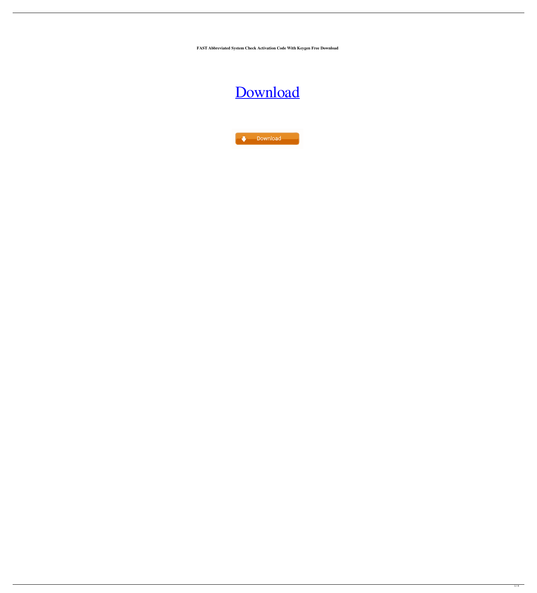**FAST Abbreviated System Check Activation Code With Keygen Free Download**



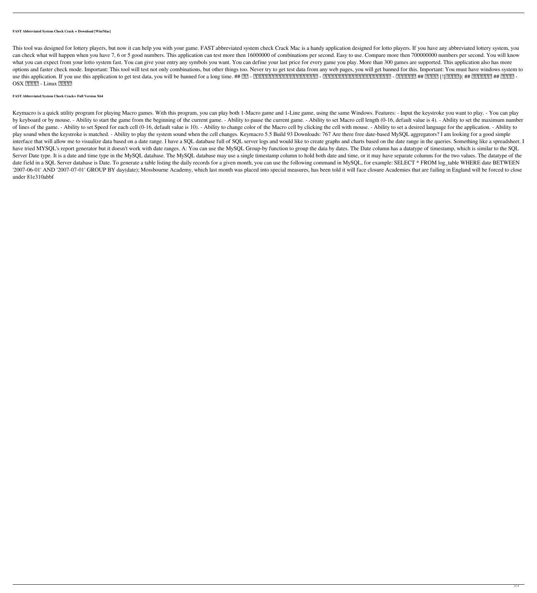#### **FAST Abbreviated System Check Crack + Download [Win/Mac]**

This tool was designed for lottery players, but now it can help you with your game. FAST abbreviated system check Crack Mac is a handy application designed for lotto players. If you have any abbreviated lottery system, you can check what will happen when you have 7, 6 or 5 good numbers. This application can test more then 16000000 of combinations per second. Easy to use. Compare more then 700000000 numbers per second. You will know what you can expect from your lotto system fast. You can give your entry any symbols you want. You can define your last price for every game you play. More than 300 games are supported. This application also has more options and faster check mode. Important: This tool will test not only combinations, but other things too. Never try to get test data from any web pages, you will get banned for this. Important: You must have windows syste use this application. If you use this application to get test data, you will be banned for a long time. ## 缺陷 - 最小需求版本现在有所改善,供大家使用。 - 特点版本下不能为现在大家使用的最小需求。 - 软件作者介绍 ## 下载地址 [![下载地址]( ## 自动检测路径 ## 下载地址 - OSX ? ? ? 2 - Linux ? ? ? ? ?

## **FAST Abbreviated System Check Crack+ Full Version X64**

Keymacro is a quick utility program for playing Macro games. With this program, you can play both 1-Macro game and 1-Line game, using the same Windows. Features: - Input the keystroke you want to play. - You can play by keyboard or by mouse. - Ability to start the game from the beginning of the current game. - Ability to pause the current game. - Ability to set Macro cell length (0-16, default value is 4). - Ability to set the maximum of lines of the game. - Ability to set Speed for each cell (0-16, default value is 10). - Ability to change color of the Macro cell by clicking the cell with mouse. - Ability to set a desired language for the application. play sound when the keystroke is matched. - Ability to play the system sound when the cell changes. Keymacro 5.5 Build 93 Downloads: 767 Are there free date-based MySQL aggregators? I am looking for a good simple interface that will allow me to visualize data based on a date range. I have a SQL database full of SQL server logs and would like to create graphs and charts based on the date range in the queries. Something like a spread have tried MYSQL's report generator but it doesn't work with date ranges. A: You can use the MySQL Group-by function to group the data by dates. The Date column has a datatype of timestamp, which is similar to the SQL Server Date type. It is a date and time type in the MySQL database. The MySQL database may use a single timestamp column to hold both date and time, or it may have separate columns for the two values. The datatype of the date field in a SQL Server database is Date. To generate a table listing the daily records for a given month, you can use the following command in MySQL, for example: SELECT \* FROM log\_table WHERE date BETWEEN '2007-06-01' AND '2007-07-01' GROUP BY day(date); Mossbourne Academy, which last month was placed into special measures, has been told it will face closure Academies that are failing in England will be forced to close under 81e310abbf

2 / 4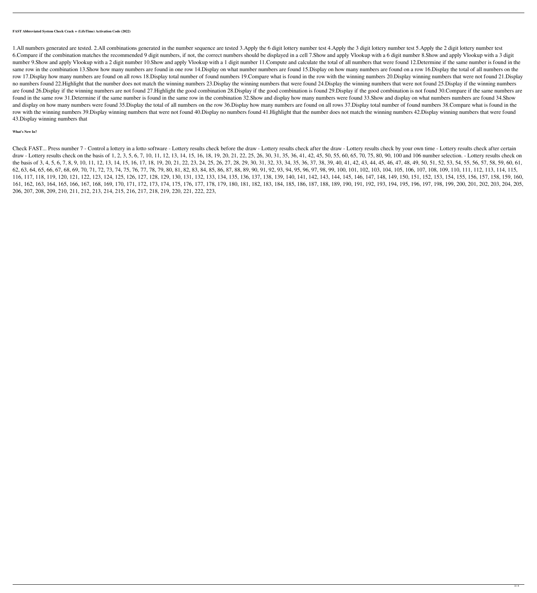**FAST Abbreviated System Check Crack + (LifeTime) Activation Code (2022)**

1.All numbers generated are tested. 2.All combinations generated in the number sequence are tested 3.Apply the 6 digit lottery number test 5.Apply the 2 digit lottery number test 5.Apply the 2 digit lottery number test 6.Compare if the combination matches the recommended 9 digit numbers, if not, the correct numbers should be displayed in a cell 7.Show and apply Vlookup with a 6 digit number 8.Show and apply Vlookup with a 3 digit number 9.Show and apply Vlookup with a 2 digit number 10.Show and apply Vlookup with a 1 digit number 11. Compute and calculate the total of all numbers that were found 12. Determine if the same number is found in the same row in the combination 13.Show how many numbers are found in one row 14.Display on what numbers are found 15.Display on how many numbers are found on a row 16.Display the total of all numbers on the row 17.Display how many numbers are found on all rows 18.Display total number of found numbers 19.Compare what is found in the row with the winning numbers 20.Display winning numbers that were not found 21.Display no numbers found 22.Highlight that the number does not match the winning numbers 23.Display the winning numbers that were found 24.Display the winning numbers that were not found 25.Display if the winning numbers are found 26.Display if the winning numbers are not found 27.Highlight the good combination 28.Display if the good combination is found 29.Display if the good combination is not found 30.Compare if the same numbers are found in the same row 31.Determine if the same number is found in the same row in the combination 32.Show and display how many numbers were found 33.Show and display on what numbers numbers are found 34.Show and display on how many numbers were found 35.Display the total of all numbers on the row 36.Display how many numbers are found on all rows 37.Display total number of found numbers 38.Compare what is found in the row with the winning numbers 39.Display winning numbers that were not found 40.Display no numbers found 41.Highlight that the number does not match the winning numbers 42.Display winning numbers that were found 43.Display winning numbers that

Check FAST... Press number 7 - Control a lottery in a lotto software - Lottery results check before the draw - Lottery results check by your own time - Lottery results check after certain draw - Lottery results check on the basis of 1, 2, 3, 5, 6, 7, 10, 11, 12, 13, 14, 15, 16, 18, 19, 20, 21, 22, 25, 26, 30, 31, 35, 36, 41, 42, 45, 50, 55, 60, 65, 70, 75, 80, 90, 100 and 106 number selection. - Lottery res the basis of 3, 4, 5, 6, 7, 8, 9, 10, 11, 12, 13, 14, 15, 16, 17, 18, 19, 20, 21, 22, 23, 24, 25, 26, 27, 28, 29, 30, 31, 32, 33, 34, 35, 36, 37, 38, 39, 40, 41, 42, 43, 44, 45, 46, 47, 48, 49, 50, 51, 52, 53, 54, 55, 56, 62, 63, 64, 65, 66, 67, 68, 69, 70, 71, 72, 73, 74, 75, 76, 77, 78, 79, 80, 81, 82, 83, 84, 85, 86, 87, 88, 89, 90, 91, 92, 93, 94, 95, 96, 97, 98, 99, 100, 101, 102, 103, 104, 105, 106, 107, 108, 109, 110, 111, 112, 113, 1 116, 117, 118, 119, 120, 121, 122, 123, 124, 125, 126, 127, 128, 129, 130, 131, 132, 133, 134, 135, 136, 137, 138, 139, 140, 141, 142, 143, 144, 145, 146, 147, 148, 149, 150, 151, 152, 153, 154, 155, 156, 157, 158, 159, 160 161, 162, 163, 164, 165, 166, 167, 168, 169, 170, 171, 172, 173, 174, 175, 176, 177, 178, 179, 180, 181, 182, 183, 184, 185, 186, 187, 188, 189, 190, 191, 192, 193, 194, 195, 196, 197, 198, 199, 200, 201, 202, 203, 204, 205, 206, 207, 208, 209, 210, 211, 212, 213, 214, 215, 216, 217, 218, 219, 220, 221, 222, 223,

### **What's New In?**

3 / 4